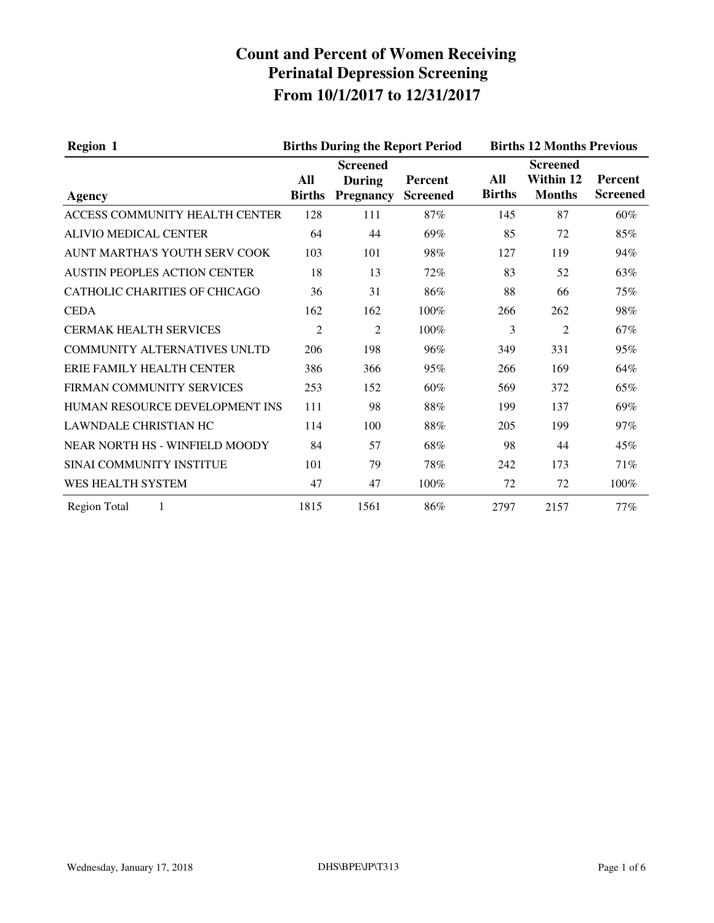| <b>Region 1</b>                      | <b>Births During the Report Period</b> |                                                      |                            |                      | <b>Births 12 Months Previous</b>                     |                                   |  |
|--------------------------------------|----------------------------------------|------------------------------------------------------|----------------------------|----------------------|------------------------------------------------------|-----------------------------------|--|
| Agency                               | All<br><b>Births</b>                   | <b>Screened</b><br><b>During</b><br><b>Pregnancy</b> | Percent<br><b>Screened</b> | All<br><b>Births</b> | <b>Screened</b><br><b>Within 12</b><br><b>Months</b> | <b>Percent</b><br><b>Screened</b> |  |
| ACCESS COMMUNITY HEALTH CENTER       | 128                                    | 111                                                  | 87%                        | 145                  | 87                                                   | 60%                               |  |
| <b>ALIVIO MEDICAL CENTER</b>         | 64                                     | 44                                                   | 69%                        | 85                   | 72                                                   | 85%                               |  |
| AUNT MARTHA'S YOUTH SERV COOK        | 103                                    | 101                                                  | 98%                        | 127                  | 119                                                  | 94%                               |  |
| <b>AUSTIN PEOPLES ACTION CENTER</b>  | 18                                     | 13                                                   | 72%                        | 83                   | 52                                                   | 63%                               |  |
| <b>CATHOLIC CHARITIES OF CHICAGO</b> | 36                                     | 31                                                   | 86%                        | 88                   | 66                                                   | 75%                               |  |
| <b>CEDA</b>                          | 162                                    | 162                                                  | 100%                       | 266                  | 262                                                  | 98%                               |  |
| <b>CERMAK HEALTH SERVICES</b>        | $\overline{2}$                         | $\overline{2}$                                       | 100%                       | 3                    | $\overline{2}$                                       | 67%                               |  |
| <b>COMMUNITY ALTERNATIVES UNLTD</b>  | 206                                    | 198                                                  | 96%                        | 349                  | 331                                                  | 95%                               |  |
| ERIE FAMILY HEALTH CENTER            | 386                                    | 366                                                  | 95%                        | 266                  | 169                                                  | 64%                               |  |
| FIRMAN COMMUNITY SERVICES            | 253                                    | 152                                                  | 60%                        | 569                  | 372                                                  | 65%                               |  |
| HUMAN RESOURCE DEVELOPMENT INS       | 111                                    | 98                                                   | 88%                        | 199                  | 137                                                  | 69%                               |  |
| <b>LAWNDALE CHRISTIAN HC</b>         | 114                                    | 100                                                  | 88%                        | 205                  | 199                                                  | 97%                               |  |
| NEAR NORTH HS - WINFIELD MOODY       | 84                                     | 57                                                   | 68%                        | 98                   | 44                                                   | 45%                               |  |
| SINAI COMMUNITY INSTITUE             | 101                                    | 79                                                   | 78%                        | 242                  | 173                                                  | 71%                               |  |
| WES HEALTH SYSTEM                    | 47                                     | 47                                                   | 100%                       | 72                   | 72                                                   | 100%                              |  |
| <b>Region Total</b><br>1             | 1815                                   | 1561                                                 | 86%                        | 2797                 | 2157                                                 | 77%                               |  |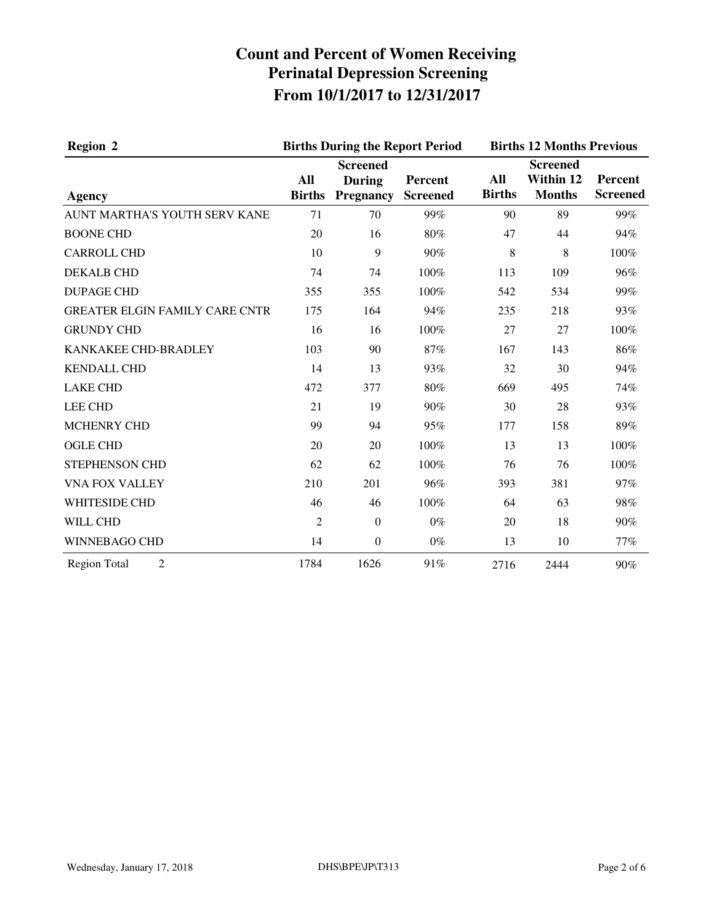| <b>Region 2</b>                       |                      | <b>Births During the Report Period</b>               |                            | <b>Births 12 Months Previous</b> |                                               |                            |
|---------------------------------------|----------------------|------------------------------------------------------|----------------------------|----------------------------------|-----------------------------------------------|----------------------------|
| <b>Agency</b>                         | All<br><b>Births</b> | <b>Screened</b><br><b>During</b><br><b>Pregnancy</b> | Percent<br><b>Screened</b> | All<br><b>Births</b>             | <b>Screened</b><br>Within 12<br><b>Months</b> | Percent<br><b>Screened</b> |
| AUNT MARTHA'S YOUTH SERV KANE         | 71                   | 70                                                   | 99%                        | 90                               | 89                                            | 99%                        |
| <b>BOONE CHD</b>                      | 20                   | 16                                                   | 80%                        | 47                               | 44                                            | 94%                        |
| <b>CARROLL CHD</b>                    | 10                   | 9                                                    | 90%                        | 8                                | 8                                             | 100%                       |
| <b>DEKALB CHD</b>                     | 74                   | 74                                                   | 100%                       | 113                              | 109                                           | 96%                        |
| <b>DUPAGE CHD</b>                     | 355                  | 355                                                  | 100%                       | 542                              | 534                                           | 99%                        |
| <b>GREATER ELGIN FAMILY CARE CNTR</b> | 175                  | 164                                                  | 94%                        | 235                              | 218                                           | 93%                        |
| <b>GRUNDY CHD</b>                     | 16                   | 16                                                   | 100%                       | 27                               | 27                                            | 100%                       |
| KANKAKEE CHD-BRADLEY                  | 103                  | 90                                                   | 87%                        | 167                              | 143                                           | 86%                        |
| <b>KENDALL CHD</b>                    | 14                   | 13                                                   | 93%                        | 32                               | 30                                            | 94%                        |
| <b>LAKE CHD</b>                       | 472                  | 377                                                  | 80%                        | 669                              | 495                                           | 74%                        |
| <b>LEE CHD</b>                        | 21                   | 19                                                   | 90%                        | 30                               | 28                                            | 93%                        |
| MCHENRY CHD                           | 99                   | 94                                                   | 95%                        | 177                              | 158                                           | 89%                        |
| <b>OGLE CHD</b>                       | 20                   | 20                                                   | 100%                       | 13                               | 13                                            | 100%                       |
| STEPHENSON CHD                        | 62                   | 62                                                   | 100%                       | 76                               | 76                                            | 100%                       |
| <b>VNA FOX VALLEY</b>                 | 210                  | 201                                                  | 96%                        | 393                              | 381                                           | 97%                        |
| WHITESIDE CHD                         | 46                   | 46                                                   | 100%                       | 64                               | 63                                            | 98%                        |
| WILL CHD                              | $\overline{2}$       | $\mathbf{0}$                                         | $0\%$                      | 20                               | 18                                            | 90%                        |
| <b>WINNEBAGO CHD</b>                  | 14                   | $\boldsymbol{0}$                                     | $0\%$                      | 13                               | 10                                            | 77%                        |
| <b>Region Total</b><br>$\overline{2}$ | 1784                 | 1626                                                 | 91%                        | 2716                             | 2444                                          | 90%                        |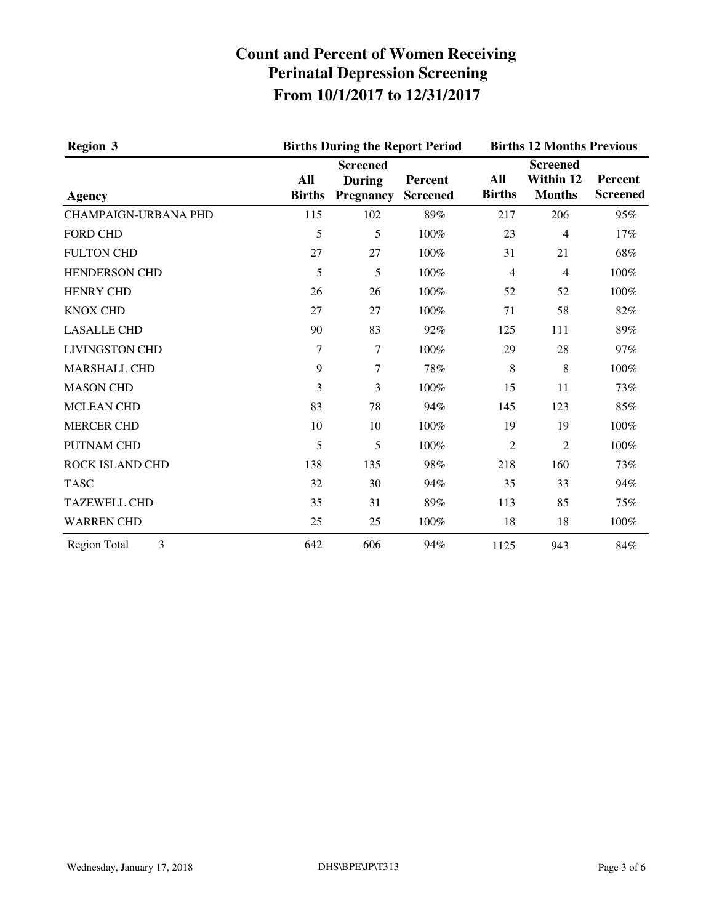| <b>Region 3</b><br>Agency             | <b>Births During the Report Period</b> | <b>Births 12 Months Previous</b>                     |                            |                      |                                               |                            |
|---------------------------------------|----------------------------------------|------------------------------------------------------|----------------------------|----------------------|-----------------------------------------------|----------------------------|
|                                       | All<br><b>Births</b>                   | <b>Screened</b><br><b>During</b><br><b>Pregnancy</b> | Percent<br><b>Screened</b> | All<br><b>Births</b> | <b>Screened</b><br>Within 12<br><b>Months</b> | Percent<br><b>Screened</b> |
| <b>CHAMPAIGN-URBANA PHD</b>           | 115                                    | 102                                                  | 89%                        | 217                  | 206                                           | 95%                        |
| <b>FORD CHD</b>                       | 5                                      | 5                                                    | 100%                       | 23                   | $\overline{4}$                                | 17%                        |
| <b>FULTON CHD</b>                     | 27                                     | 27                                                   | 100%                       | 31                   | 21                                            | 68%                        |
| <b>HENDERSON CHD</b>                  | 5                                      | 5                                                    | 100%                       | 4                    | 4                                             | 100%                       |
| <b>HENRY CHD</b>                      | 26                                     | 26                                                   | 100%                       | 52                   | 52                                            | 100%                       |
| <b>KNOX CHD</b>                       | 27                                     | 27                                                   | 100%                       | 71                   | 58                                            | 82%                        |
| <b>LASALLE CHD</b>                    | 90                                     | 83                                                   | 92%                        | 125                  | 111                                           | 89%                        |
| <b>LIVINGSTON CHD</b>                 | 7                                      | 7                                                    | 100%                       | 29                   | 28                                            | 97%                        |
| <b>MARSHALL CHD</b>                   | 9                                      | $\tau$                                               | 78%                        | 8                    | 8                                             | 100%                       |
| <b>MASON CHD</b>                      | 3                                      | 3                                                    | 100%                       | 15                   | 11                                            | 73%                        |
| <b>MCLEAN CHD</b>                     | 83                                     | 78                                                   | 94%                        | 145                  | 123                                           | 85%                        |
| <b>MERCER CHD</b>                     | 10                                     | 10                                                   | 100%                       | 19                   | 19                                            | 100%                       |
| <b>PUTNAM CHD</b>                     | 5                                      | 5                                                    | 100%                       | 2                    | 2                                             | 100%                       |
| ROCK ISLAND CHD                       | 138                                    | 135                                                  | 98%                        | 218                  | 160                                           | 73%                        |
| <b>TASC</b>                           | 32                                     | 30                                                   | 94%                        | 35                   | 33                                            | 94%                        |
| <b>TAZEWELL CHD</b>                   | 35                                     | 31                                                   | 89%                        | 113                  | 85                                            | 75%                        |
| <b>WARREN CHD</b>                     | 25                                     | 25                                                   | 100%                       | 18                   | 18                                            | 100%                       |
| $\overline{3}$<br><b>Region Total</b> | 642                                    | 606                                                  | 94%                        | 1125                 | 943                                           | 84%                        |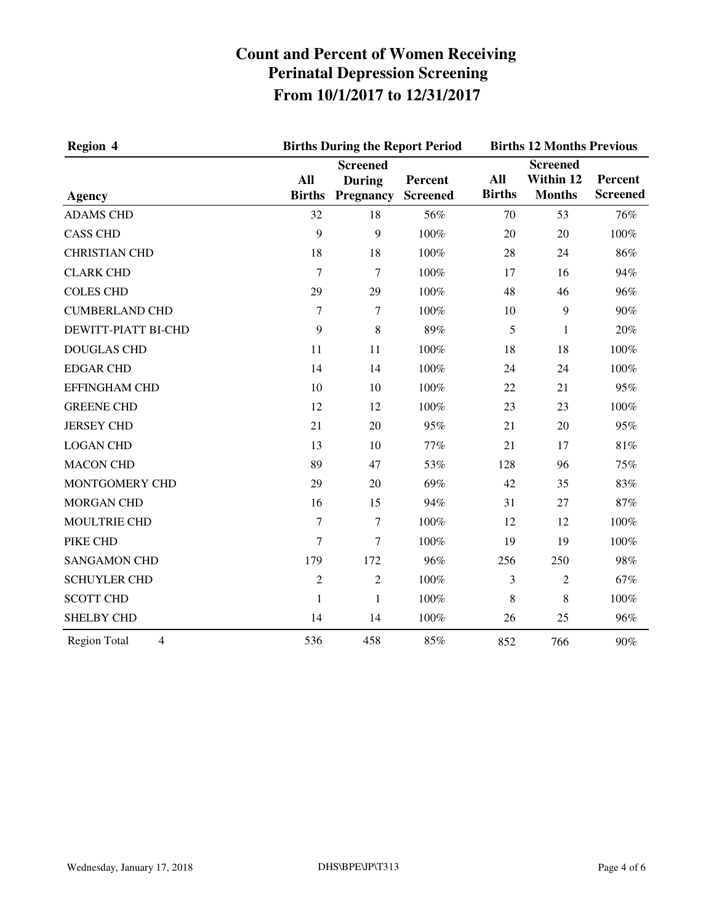| Region 4                              |                             | <b>Births During the Report Period</b>               |                            |                      | <b>Births 12 Months Previous</b>              |                            |  |
|---------------------------------------|-----------------------------|------------------------------------------------------|----------------------------|----------------------|-----------------------------------------------|----------------------------|--|
| <b>Agency</b>                         | <b>All</b><br><b>Births</b> | <b>Screened</b><br><b>During</b><br><b>Pregnancy</b> | Percent<br><b>Screened</b> | All<br><b>Births</b> | <b>Screened</b><br>Within 12<br><b>Months</b> | Percent<br><b>Screened</b> |  |
| <b>ADAMS CHD</b>                      | 32                          | 18                                                   | 56%                        | 70                   | 53                                            | 76%                        |  |
| <b>CASS CHD</b>                       | 9                           | 9                                                    | 100%                       | 20                   | 20                                            | 100%                       |  |
| <b>CHRISTIAN CHD</b>                  | 18                          | 18                                                   | 100%                       | 28                   | 24                                            | 86%                        |  |
| <b>CLARK CHD</b>                      | $\tau$                      | $\tau$                                               | 100%                       | 17                   | 16                                            | 94%                        |  |
| <b>COLES CHD</b>                      | 29                          | 29                                                   | 100%                       | 48                   | 46                                            | 96%                        |  |
| <b>CUMBERLAND CHD</b>                 | $\tau$                      | 7                                                    | 100%                       | 10                   | $\overline{9}$                                | 90%                        |  |
| DEWITT-PIATT BI-CHD                   | 9                           | $\,8\,$                                              | 89%                        | 5                    | $\mathbf{1}$                                  | 20%                        |  |
| <b>DOUGLAS CHD</b>                    | 11                          | 11                                                   | 100%                       | 18                   | 18                                            | 100%                       |  |
| <b>EDGAR CHD</b>                      | 14                          | 14                                                   | 100%                       | 24                   | 24                                            | 100%                       |  |
| <b>EFFINGHAM CHD</b>                  | 10                          | 10                                                   | 100%                       | 22                   | 21                                            | 95%                        |  |
| <b>GREENE CHD</b>                     | 12                          | 12                                                   | 100%                       | 23                   | 23                                            | 100%                       |  |
| <b>JERSEY CHD</b>                     | 21                          | 20                                                   | 95%                        | 21                   | 20                                            | 95%                        |  |
| <b>LOGAN CHD</b>                      | 13                          | 10                                                   | 77%                        | 21                   | 17                                            | 81%                        |  |
| <b>MACON CHD</b>                      | 89                          | 47                                                   | 53%                        | 128                  | 96                                            | 75%                        |  |
| MONTGOMERY CHD                        | 29                          | 20                                                   | 69%                        | 42                   | 35                                            | 83%                        |  |
| <b>MORGAN CHD</b>                     | 16                          | 15                                                   | 94%                        | 31                   | 27                                            | 87%                        |  |
| MOULTRIE CHD                          | 7                           | 7                                                    | 100%                       | 12                   | 12                                            | 100%                       |  |
| PIKE CHD                              | 7                           | 7                                                    | 100%                       | 19                   | 19                                            | 100%                       |  |
| <b>SANGAMON CHD</b>                   | 179                         | 172                                                  | 96%                        | 256                  | 250                                           | 98%                        |  |
| <b>SCHUYLER CHD</b>                   | $\overline{2}$              | $\overline{2}$                                       | 100%                       | 3                    | $\overline{2}$                                | 67%                        |  |
| <b>SCOTT CHD</b>                      | 1                           | $\mathbf{1}$                                         | 100%                       | 8                    | 8                                             | 100%                       |  |
| <b>SHELBY CHD</b>                     | 14                          | 14                                                   | 100%                       | 26                   | 25                                            | 96%                        |  |
| $\overline{4}$<br><b>Region Total</b> | 536                         | 458                                                  | 85%                        | 852                  | 766                                           | 90%                        |  |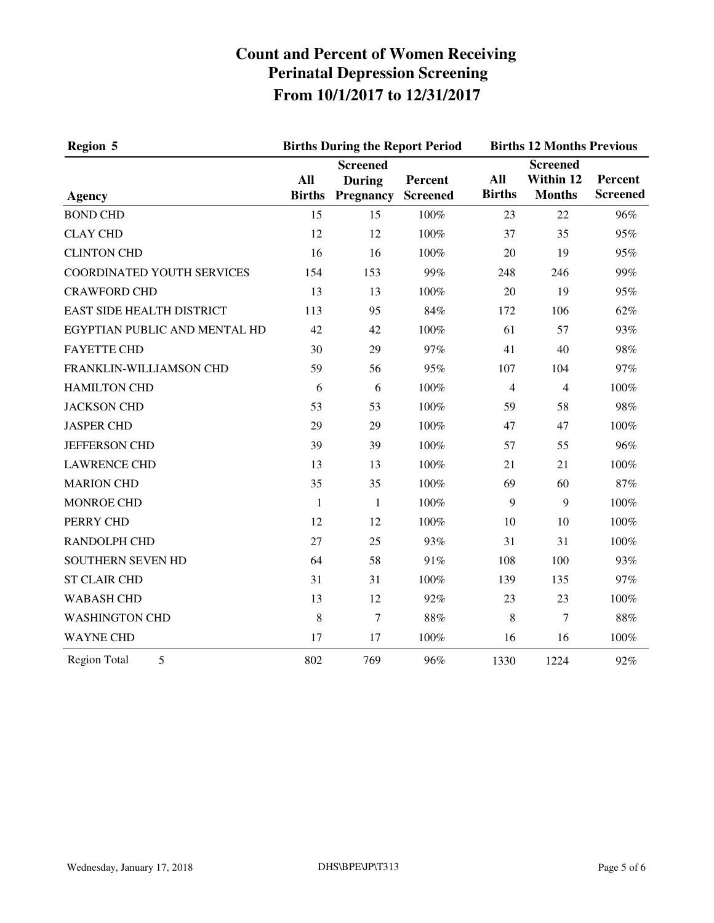| Region 5                         |                      | <b>Births During the Report Period</b>               |                            | <b>Births 12 Months Previous</b> |                                               |                            |
|----------------------------------|----------------------|------------------------------------------------------|----------------------------|----------------------------------|-----------------------------------------------|----------------------------|
| <b>Agency</b>                    | All<br><b>Births</b> | <b>Screened</b><br><b>During</b><br><b>Pregnancy</b> | Percent<br><b>Screened</b> | All<br><b>Births</b>             | <b>Screened</b><br>Within 12<br><b>Months</b> | Percent<br><b>Screened</b> |
| <b>BOND CHD</b>                  | 15                   | 15                                                   | 100%                       | 23                               | 22                                            | 96%                        |
| <b>CLAY CHD</b>                  | 12                   | 12                                                   | 100%                       | 37                               | 35                                            | 95%                        |
| <b>CLINTON CHD</b>               | 16                   | 16                                                   | 100%                       | 20                               | 19                                            | 95%                        |
| COORDINATED YOUTH SERVICES       | 154                  | 153                                                  | 99%                        | 248                              | 246                                           | 99%                        |
| <b>CRAWFORD CHD</b>              | 13                   | 13                                                   | 100%                       | 20                               | 19                                            | 95%                        |
| <b>EAST SIDE HEALTH DISTRICT</b> | 113                  | 95                                                   | 84%                        | 172                              | 106                                           | 62%                        |
| EGYPTIAN PUBLIC AND MENTAL HD    | 42                   | 42                                                   | 100%                       | 61                               | 57                                            | 93%                        |
| <b>FAYETTE CHD</b>               | 30                   | 29                                                   | 97%                        | 41                               | 40                                            | 98%                        |
| FRANKLIN-WILLIAMSON CHD          | 59                   | 56                                                   | 95%                        | 107                              | 104                                           | 97%                        |
| <b>HAMILTON CHD</b>              | 6                    | 6                                                    | 100%                       | $\overline{4}$                   | $\overline{4}$                                | 100%                       |
| <b>JACKSON CHD</b>               | 53                   | 53                                                   | 100%                       | 59                               | 58                                            | 98%                        |
| <b>JASPER CHD</b>                | 29                   | 29                                                   | 100%                       | 47                               | 47                                            | 100%                       |
| JEFFERSON CHD                    | 39                   | 39                                                   | 100%                       | 57                               | 55                                            | 96%                        |
| <b>LAWRENCE CHD</b>              | 13                   | 13                                                   | 100%                       | 21                               | 21                                            | 100%                       |
| <b>MARION CHD</b>                | 35                   | 35                                                   | 100%                       | 69                               | 60                                            | 87%                        |
| <b>MONROE CHD</b>                | $\mathbf{1}$         | $\mathbf{1}$                                         | 100%                       | 9                                | 9                                             | 100%                       |
| PERRY CHD                        | 12                   | 12                                                   | 100%                       | 10                               | 10                                            | 100%                       |
| <b>RANDOLPH CHD</b>              | 27                   | 25                                                   | 93%                        | 31                               | 31                                            | 100%                       |
| SOUTHERN SEVEN HD                | 64                   | 58                                                   | 91%                        | 108                              | 100                                           | 93%                        |
| <b>ST CLAIR CHD</b>              | 31                   | 31                                                   | 100%                       | 139                              | 135                                           | 97%                        |
| <b>WABASH CHD</b>                | 13                   | 12                                                   | 92%                        | 23                               | 23                                            | 100%                       |
| <b>WASHINGTON CHD</b>            | 8                    | 7                                                    | $88\%$                     | 8                                | 7                                             | $88\%$                     |
| <b>WAYNE CHD</b>                 | 17                   | 17                                                   | 100%                       | 16                               | 16                                            | 100%                       |
| 5<br><b>Region Total</b>         | 802                  | 769                                                  | 96%                        | 1330                             | 1224                                          | 92%                        |